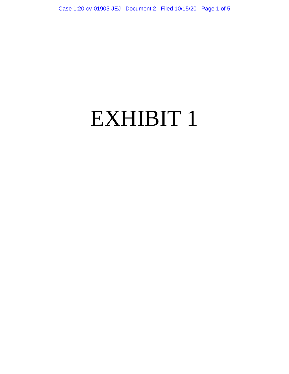# EXHIBIT 1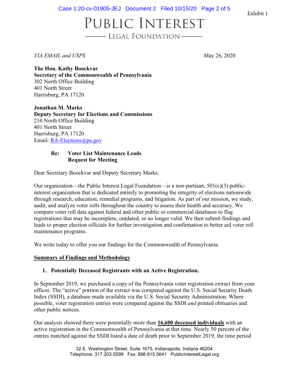Case 1:20-cv-01905-JEJ Document 2 Filed 10/15/20 Page 2 of 5

Exhibit 1

### PUBLIC INTEREST - LEGAL FOUNDATION

*VIA EMAIL and USPS* May 26, 2020

**The Hon. Kathy Boockvar Secretary of the Commonwealth of Pennsylvania**  302 North Office Building 401 North Street Harrisburg, PA 17120

**Jonathan M. Marks Deputy Secretary for Elections and Commissions** 210 North Office Building 401 North Street Harrisburg, PA 17120 Email: [RA-Elections@pa.gov](mailto:RA-Elections@pa.gov)

### **Re: Voter List Maintenance Leads Request for Meeting**

Dear Secretary Boockvar and Deputy Secretary Marks:

Our organization—the Public Interest Legal Foundation—is a non-partisan,  $501(c)(3)$  publicinterest organization that is dedicated entirely to promoting the integrity of elections nationwide through research, education, remedial programs, and litigation. As part of our mission, we study, audit, and analyze voter rolls throughout the country to assess their health and accuracy. We compare voter roll data against federal and other public or commercial databases to flag registrations that may be incomplete, outdated, or no longer valid. We then submit findings and leads to proper election officials for further investigation and confirmation to better aid voter roll maintenance programs.

We write today to offer you our findings for the Commonwealth of Pennsylvania.

### **Summary of Findings and Methodology**

### **1. Potentially Deceased Registrants with an Active Registration.**

In September 2019, we purchased a copy of the Pennsylvania voter registration extract from your offices. The "active" portion of the extract was compared against the U.S. Social Security Death Index (SSDI), a database made available via the U.S. Social Security Administration. Where possible, voter registration entries were compared against the SSDI *and* printed obituaries and other public notices.

Our analysis showed there were potentially more than **16,600 deceased individuals** with an active registration in the Commonwealth of Pennsylvania at that time. Nearly 50 percent of the entries matched against the SSDI listed a date of death prior to September 2019, the time period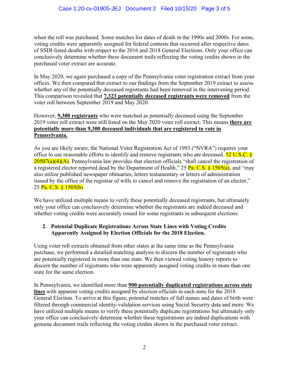when the roll was purchased. Some matches list dates of death in the 1990s and 2000s. For some, voting credits were apparently assigned for federal contests that occurred after respective dates of SSDI-listed deaths with respect to the 2016 and 2018 General Elections. Only your office can conclusively determine whether these document trails reflecting the voting credits shown in the purchased voter extract are accurate.

In May 2020, we again purchased a copy of the Pennsylvania voter registration extract from your offices. We then compared that extract to our findings from the September 2019 extract to assess whether any of the potentially deceased registrants had been removed in the intervening period. This comparison revealed that **7,323 potentially deceased registrants were removed** from the voter roll between September 2019 and May 2020.

### However, **9,300 registrants** who were matched as potentially deceased using the September 2019 voter roll extract were still listed on the May 2020 voter roll extract. This means **there are potentially more than 9,300 deceased individuals that are registered to vote in Pennsylvania.**

As you are likely aware, the National Voter Registration Act of 1993 ("NVRA") requires your office to use reasonable efforts to identify and remove registrants who are deceased. 52 U.S.C. §  $20507(a)(4)(A)$ . Pennsylvania law provides that election officials "shall cancel the registration of a registered elector reported dead by the Department of Health," 25 Pa. C.S.  $\frac{$1505(a)}{a}$ , and "may" also utilize published newspaper obituaries, letters testamentary or letters of administration issued by the office of the registrar of wills to cancel and remove the registration of an elector," 25 Pa. C.S. § 1505(b).

We have utilized multiple means to verify these potentially deceased registrants, but ultimately only your office can conclusively determine whether the registrants are indeed deceased and whether voting credits were accurately issued for some registrants in subsequent elections.

### **2. Potential Duplicate Registrations Across State Lines with Voting Credits Apparently Assigned by Election Officials for the 2018 Election.**

Using voter roll extracts obtained from other states at the same time as the Pennsylvania purchase, we performed a detailed matching analysis to discern the number of registrants who are potentially registered in more than one state. We then viewed voting history reports to discern the number of registrants who were apparently assigned voting credits in more than one state for the same election.

In Pennsylvania, we identified more than **900 potentially duplicated registrations across state lines** with apparent voting credits assigned by election officials in each state for the 2018 General Election. To arrive at this figure, potential matches of full names and dates of birth were filtered through commercial identity-validation services using Social Security data and more. We have utilized multiple means to verify these potentially duplicate registrations but ultimately only your office can conclusively determine whether these registrations are indeed duplications with genuine document trails reflecting the voting credits shown in the purchased voter extract.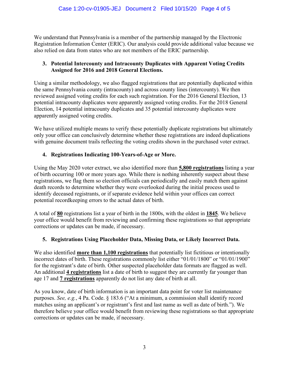We understand that Pennsylvania is a member of the partnership managed by the Electronic Registration Information Center (ERIC). Our analysis could provide additional value because we also relied on data from states who are not members of the ERIC partnership.

### **3. Potential Intercounty and Intracounty Duplicates with Apparent Voting Credits Assigned for 2016 and 2018 General Elections.**

Using a similar methodology, we also flagged registrations that are potentially duplicated within the same Pennsylvania county (intracounty) and across county lines (intercounty). We then reviewed assigned voting credits for each such registration. For the 2016 General Election, 13 potential intracounty duplicates were apparently assigned voting credits. For the 2018 General Election, 14 potential intracounty duplicates and 35 potential intercounty duplicates were apparently assigned voting credits.

We have utilized multiple means to verify these potentially duplicate registrations but ultimately only your office can conclusively determine whether these registrations are indeed duplications with genuine document trails reflecting the voting credits shown in the purchased voter extract.

### **4. Registrations Indicating 100-Years-of-Age or More.**

Using the May 2020 voter extract, we also identified more than **5,800 registrations** listing a year of birth occurring 100 or more years ago. While there is nothing inherently suspect about these registrations, we flag them so election officials can periodically and easily match them against death records to determine whether they were overlooked during the initial process used to identify deceased registrants, or if separate evidence held within your offices can correct potential recordkeeping errors to the actual dates of birth.

A total of **80** registrations list a year of birth in the 1800s, with the oldest in **1845**. We believe your office would benefit from reviewing and confirming these registrations so that appropriate corrections or updates can be made, if necessary.

### **5. Registrations Using Placeholder Data, Missing Data, or Likely Incorrect Data.**

We also identified **more than 1,100 registrations** that potentially list fictitious or intentionally incorrect dates of birth. These registrations commonly list either "01/01/1800" or "01/01/1900" for the registrant's date of birth. Other suspected placeholder data formats are flagged as well. An additional **4 registrations** list a date of birth to suggest they are currently far younger than age 17 and **7 registrations** apparently do not list any date of birth at all.

As you know, date of birth information is an important data point for voter list maintenance purposes. *See, e.g.*, 4 Pa. Code. § 183.6 ("At a minimum, a commission shall identify record matches using an applicant's or registrant's first and last name as well as date of birth."). We therefore believe your office would benefit from reviewing these registrations so that appropriate corrections or updates can be made, if necessary.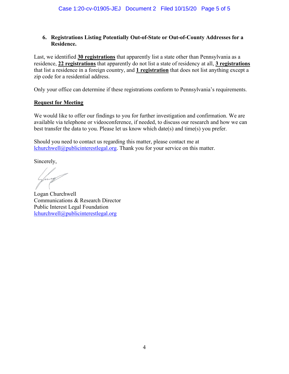### **6. Registrations Listing Potentially Out-of-State or Out-of-County Addresses for a Residence.**

Last, we identified **30 registrations** that apparently list a state other than Pennsylvania as a residence, **22 registrations** that apparently do not list a state of residency at all, **3 registrations** that list a residence in a foreign country, and **1 registration** that does not list anything except a zip code for a residential address.

Only your office can determine if these registrations conform to Pennsylvania's requirements.

#### **Request for Meeting**

We would like to offer our findings to you for further investigation and confirmation. We are available via telephone or videoconference, if needed, to discuss our research and how we can best transfer the data to you. Please let us know which date(s) and time(s) you prefer.

Should you need to contact us regarding this matter, please contact me at [lchurchwell@publicinterestlegal.org.](mailto:lchurchwell@publicinterestlegal.org) Thank you for your service on this matter.

Sincerely,

Logan Churchwell Communications & Research Director Public Interest Legal Foundation [lchurchwell@publicinterestlegal.org](mailto:lchurchwell@publicinterestlegal.org)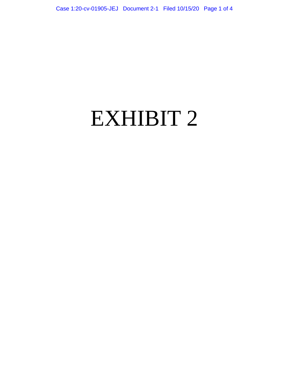# EXHIBIT 2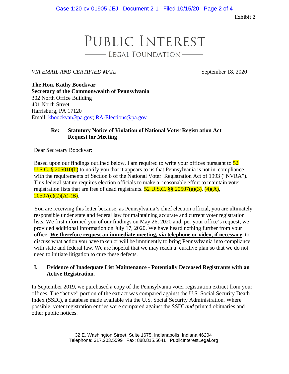Exhibit 2

### PUBLIC INTEREST - LEGAL FOUNDATION

*VIA EMAIL AND CERTIFIED MAIL* September 18, 2020

**The Hon. Kathy Boockvar Secretary of the Commonwealth of Pennsylvania**  302 North Office Building 401 North Street Harrisburg, PA 17120 Email: [kboockvar@pa.gov;](mailto:kboockvar@pa.gov) [RA-Elections@pa.gov](mailto:RA-Elections@pa.gov)

### **Re: Statutory Notice of Violation of National Voter Registration Act Request for Meeting**

Dear Secretary Boockvar:

Based upon our findings outlined below, I am required to write your offices pursuant to  $\frac{52}{ }$ U.S.C.  $\frac{8}{205010(b)}$  to notify you that it appears to us that Pennsylvania is not in compliance with the requirements of Section 8 of the National Voter Registration Act of 1993 ("NVRA"). This federal statute requires election officials to make a reasonable effort to maintain voter registration lists that are free of dead registrants.  $52 \text{ U.S.C.}$  §§  $20507(a)(3)$ ,  $(4)(A)$ ,  $20507(c)(2)(A)-B$ .

You are receiving this letter because, as Pennsylvania's chief election official, you are ultimately responsible under state and federal law for maintaining accurate and current voter registration lists. We first informed you of our findings on May 26, 2020 and, per your office's request, we provided additional information on July 17, 2020. We have heard nothing further from your office. **We therefore request an immediate meeting, via telephone or video, if necessary**, to discuss what action you have taken or will be imminently to bring Pennsylvania into compliance with state and federal law. We are hopeful that we may reach a curative plan so that we do not need to initiate litigation to cure these defects.

#### **I. Evidence of Inadequate List Maintenance - Potentially Deceased Registrants with an Active Registration.**

In September 2019, we purchased a copy of the Pennsylvania voter registration extract from your offices. The "active" portion of the extract was compared against the U.S. Social Security Death Index (SSDI), a database made available via the U.S. Social Security Administration. Where possible, voter registration entries were compared against the SSDI *and* printed obituaries and other public notices.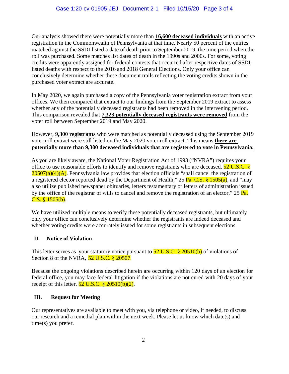Our analysis showed there were potentially more than **16,600 deceased individuals** with an active registration in the Commonwealth of Pennsylvania at that time. Nearly 50 percent of the entries matched against the SSDI listed a date of death prior to September 2019, the time period when the roll was purchased. Some matches list dates of death in the 1990s and 2000s. For some, voting credits were apparently assigned for federal contests that occurred after respective dates of SSDIlisted deaths with respect to the 2016 and 2018 General Elections. Only your office can conclusively determine whether these document trails reflecting the voting credits shown in the purchased voter extract are accurate.

In May 2020, we again purchased a copy of the Pennsylvania voter registration extract from your offices. We then compared that extract to our findings from the September 2019 extract to assess whether any of the potentially deceased registrants had been removed in the intervening period. This comparison revealed that **7,323 potentially deceased registrants were removed** from the voter roll between September 2019 and May 2020.

However, **9,300 registrants** who were matched as potentially deceased using the September 2019 voter roll extract were still listed on the May 2020 voter roll extract. This means **there are potentially more than 9,300 deceased individuals that are registered to vote in Pennsylvania.**

As you are likely aware, the National Voter Registration Act of 1993 ("NVRA") requires your office to use reasonable efforts to identify and remove registrants who are deceased. **52 U.S.C.** §  $20507(a)(4)(A)$ . Pennsylvania law provides that election officials "shall cancel the registration of a registered elector reported dead by the Department of Health," 25 Pa. C.S. § 1505(a), and "may also utilize published newspaper obituaries, letters testamentary or letters of administration issued by the office of the registrar of wills to cancel and remove the registration of an elector," 25 Pa. C.S. § 1505(b).

We have utilized multiple means to verify these potentially deceased registrants, but ultimately only your office can conclusively determine whether the registrants are indeed deceased and whether voting credits were accurately issued for some registrants in subsequent elections.

### **II. Notice of Violation**

This letter serves as your statutory notice pursuant to  $52 \text{ U.S.C.}$  \$  $20510(b)$  of violations of Section 8 of the NVRA, 52 U.S.C. § 20507.

Because the ongoing violations described herein are occurring within 120 days of an election for federal office, you may face federal litigation if the violations are not cured with 20 days of your receipt of this letter.  $52 \text{ U.S.C.}$  §  $20510(b)(2)$ .

### **III. Request for Meeting**

Our representatives are available to meet with you, via telephone or video, if needed, to discuss our research and a remedial plan within the next week. Please let us know which date(s) and time(s) you prefer.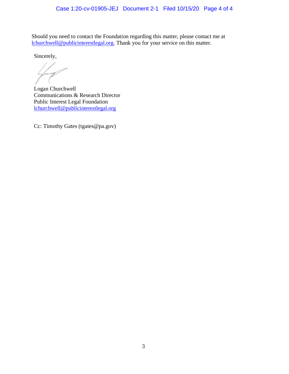Should you need to contact the Foundation regarding this matter, please contact me at [lchurchwell@publicinterestlegal.org.](mailto:lchurchwell@publicinterestlegal.org) Thank you for your service on this matter.

Sincerely,

Logan Churchwell Communications & Research Director Public Interest Legal Foundation [lchurchwell@publicinterestlegal.org](mailto:lchurchwell@publicinterestlegal.org)

Cc: Timothy Gates (tgates@pa.gov)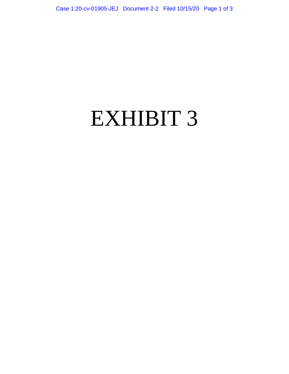## EXHIBIT 3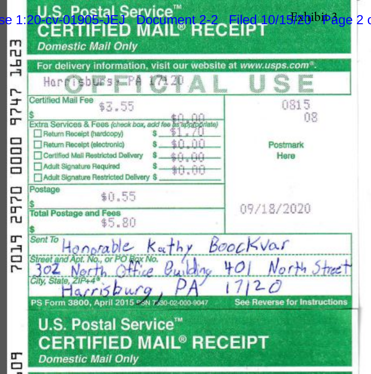